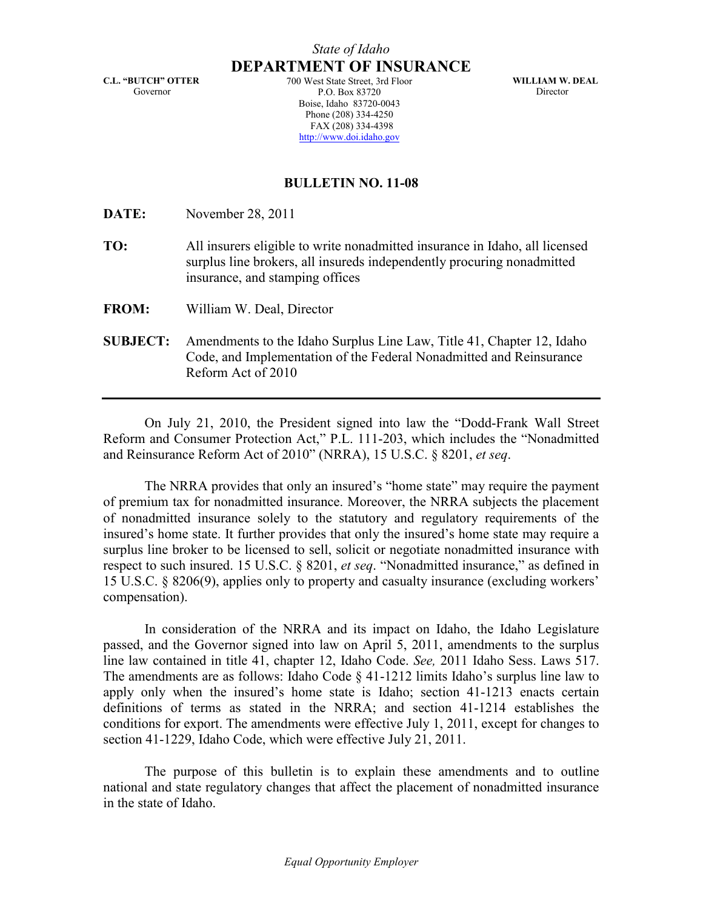C.L. "BUTCH" OTTER Governor

DEPARTMENT OF INSURANCE 700 West State Street, 3rd Floor P.O. Box 83720 Boise, Idaho 83720-0043 Phone (208) 334-4250 FAX (208) 334-4398 http://www.doi.idaho.gov

WILLIAM W. DEAL Director

# BULLETIN NO. 11-08

DATE: November 28, 2011

- TO: All insurers eligible to write nonadmitted insurance in Idaho, all licensed surplus line brokers, all insureds independently procuring nonadmitted insurance, and stamping offices
- FROM: William W. Deal, Director
- SUBJECT: Amendments to the Idaho Surplus Line Law, Title 41, Chapter 12, Idaho Code, and Implementation of the Federal Nonadmitted and Reinsurance Reform Act of 2010

On July 21, 2010, the President signed into law the "Dodd-Frank Wall Street Reform and Consumer Protection Act," P.L. 111-203, which includes the "Nonadmitted and Reinsurance Reform Act of 2010" (NRRA), 15 U.S.C. § 8201, et seq.

The NRRA provides that only an insured's "home state" may require the payment of premium tax for nonadmitted insurance. Moreover, the NRRA subjects the placement of nonadmitted insurance solely to the statutory and regulatory requirements of the insured's home state. It further provides that only the insured's home state may require a surplus line broker to be licensed to sell, solicit or negotiate nonadmitted insurance with respect to such insured. 15 U.S.C. § 8201, et seq. "Nonadmitted insurance," as defined in 15 U.S.C. § 8206(9), applies only to property and casualty insurance (excluding workers' compensation).

In consideration of the NRRA and its impact on Idaho, the Idaho Legislature passed, and the Governor signed into law on April 5, 2011, amendments to the surplus line law contained in title 41, chapter 12, Idaho Code. See, 2011 Idaho Sess. Laws 517. The amendments are as follows: Idaho Code § 41-1212 limits Idaho's surplus line law to apply only when the insured's home state is Idaho; section 41-1213 enacts certain definitions of terms as stated in the NRRA; and section 41-1214 establishes the conditions for export. The amendments were effective July 1, 2011, except for changes to section 41-1229, Idaho Code, which were effective July 21, 2011.

The purpose of this bulletin is to explain these amendments and to outline national and state regulatory changes that affect the placement of nonadmitted insurance in the state of Idaho.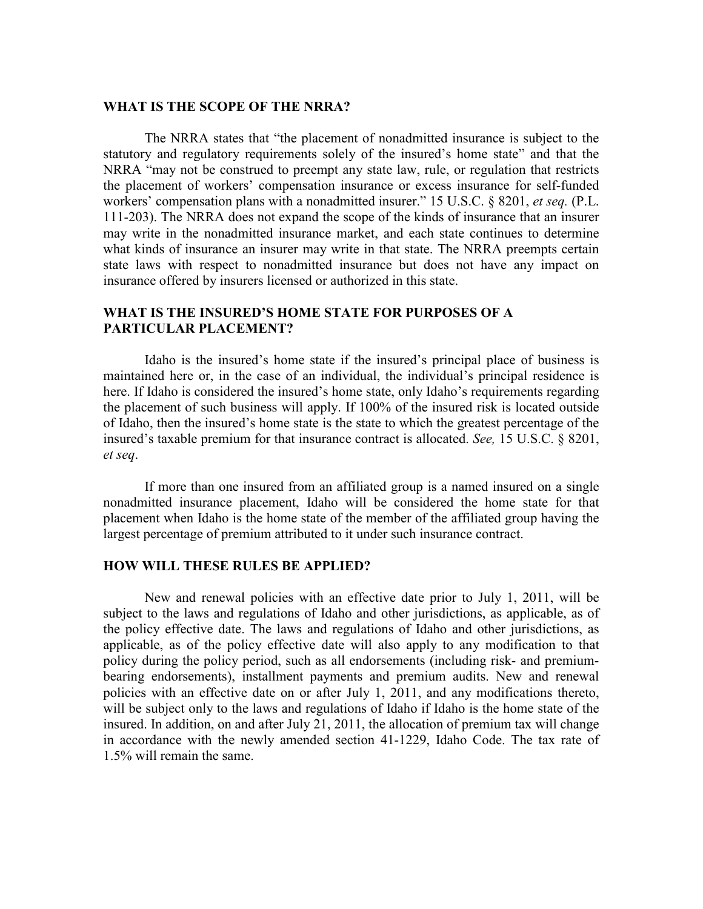### WHAT IS THE SCOPE OF THE NRRA?

The NRRA states that "the placement of nonadmitted insurance is subject to the statutory and regulatory requirements solely of the insured's home state" and that the NRRA "may not be construed to preempt any state law, rule, or regulation that restricts the placement of workers' compensation insurance or excess insurance for self-funded workers' compensation plans with a nonadmitted insurer." 15 U.S.C. § 8201, et seq. (P.L. 111-203). The NRRA does not expand the scope of the kinds of insurance that an insurer may write in the nonadmitted insurance market, and each state continues to determine what kinds of insurance an insurer may write in that state. The NRRA preempts certain state laws with respect to nonadmitted insurance but does not have any impact on insurance offered by insurers licensed or authorized in this state.

# WHAT IS THE INSURED'S HOME STATE FOR PURPOSES OF A PARTICULAR PLACEMENT?

Idaho is the insured's home state if the insured's principal place of business is maintained here or, in the case of an individual, the individual's principal residence is here. If Idaho is considered the insured's home state, only Idaho's requirements regarding the placement of such business will apply. If 100% of the insured risk is located outside of Idaho, then the insured's home state is the state to which the greatest percentage of the insured's taxable premium for that insurance contract is allocated. See, 15 U.S.C. § 8201, et seq.

If more than one insured from an affiliated group is a named insured on a single nonadmitted insurance placement, Idaho will be considered the home state for that placement when Idaho is the home state of the member of the affiliated group having the largest percentage of premium attributed to it under such insurance contract.

### HOW WILL THESE RULES BE APPLIED?

New and renewal policies with an effective date prior to July 1, 2011, will be subject to the laws and regulations of Idaho and other jurisdictions, as applicable, as of the policy effective date. The laws and regulations of Idaho and other jurisdictions, as applicable, as of the policy effective date will also apply to any modification to that policy during the policy period, such as all endorsements (including risk- and premiumbearing endorsements), installment payments and premium audits. New and renewal policies with an effective date on or after July 1, 2011, and any modifications thereto, will be subject only to the laws and regulations of Idaho if Idaho is the home state of the insured. In addition, on and after July 21, 2011, the allocation of premium tax will change in accordance with the newly amended section 41-1229, Idaho Code. The tax rate of 1.5% will remain the same.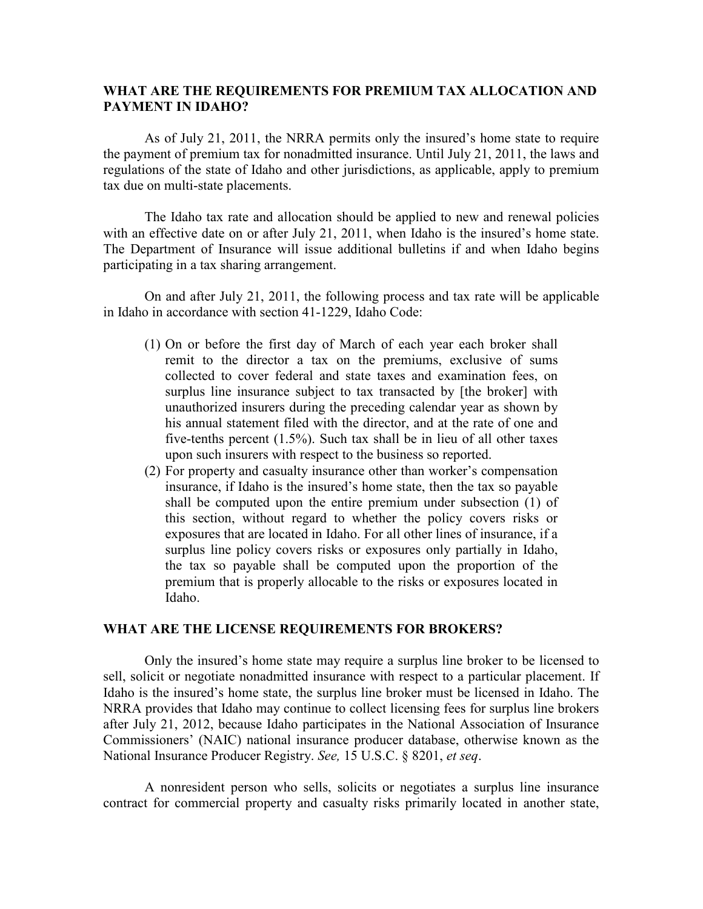### WHAT ARE THE REQUIREMENTS FOR PREMIUM TAX ALLOCATION AND PAYMENT IN IDAHO?

As of July 21, 2011, the NRRA permits only the insured's home state to require the payment of premium tax for nonadmitted insurance. Until July 21, 2011, the laws and regulations of the state of Idaho and other jurisdictions, as applicable, apply to premium tax due on multi-state placements.

The Idaho tax rate and allocation should be applied to new and renewal policies with an effective date on or after July 21, 2011, when Idaho is the insured's home state. The Department of Insurance will issue additional bulletins if and when Idaho begins participating in a tax sharing arrangement.

On and after July 21, 2011, the following process and tax rate will be applicable in Idaho in accordance with section 41-1229, Idaho Code:

- (1) On or before the first day of March of each year each broker shall remit to the director a tax on the premiums, exclusive of sums collected to cover federal and state taxes and examination fees, on surplus line insurance subject to tax transacted by [the broker] with unauthorized insurers during the preceding calendar year as shown by his annual statement filed with the director, and at the rate of one and five-tenths percent (1.5%). Such tax shall be in lieu of all other taxes upon such insurers with respect to the business so reported.
- (2) For property and casualty insurance other than worker's compensation insurance, if Idaho is the insured's home state, then the tax so payable shall be computed upon the entire premium under subsection (1) of this section, without regard to whether the policy covers risks or exposures that are located in Idaho. For all other lines of insurance, if a surplus line policy covers risks or exposures only partially in Idaho, the tax so payable shall be computed upon the proportion of the premium that is properly allocable to the risks or exposures located in Idaho.

### WHAT ARE THE LICENSE REQUIREMENTS FOR BROKERS?

Only the insured's home state may require a surplus line broker to be licensed to sell, solicit or negotiate nonadmitted insurance with respect to a particular placement. If Idaho is the insured's home state, the surplus line broker must be licensed in Idaho. The NRRA provides that Idaho may continue to collect licensing fees for surplus line brokers after July 21, 2012, because Idaho participates in the National Association of Insurance Commissioners' (NAIC) national insurance producer database, otherwise known as the National Insurance Producer Registry. See, 15 U.S.C. § 8201, et seq.

A nonresident person who sells, solicits or negotiates a surplus line insurance contract for commercial property and casualty risks primarily located in another state,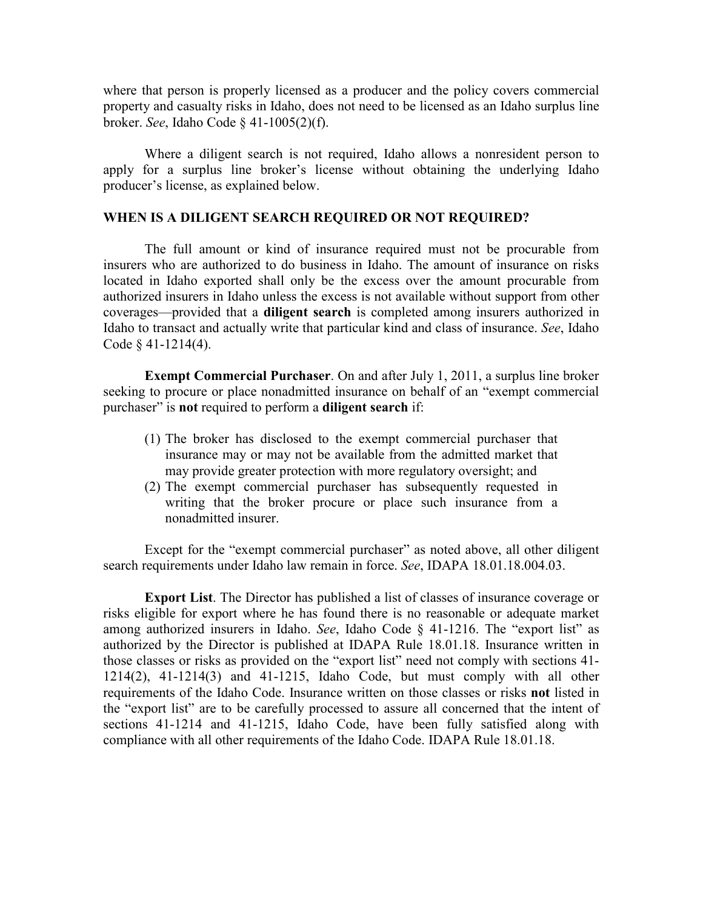where that person is properly licensed as a producer and the policy covers commercial property and casualty risks in Idaho, does not need to be licensed as an Idaho surplus line broker. See, Idaho Code § 41-1005(2)(f).

Where a diligent search is not required, Idaho allows a nonresident person to apply for a surplus line broker's license without obtaining the underlying Idaho producer's license, as explained below.

## WHEN IS A DILIGENT SEARCH REQUIRED OR NOT REQUIRED?

The full amount or kind of insurance required must not be procurable from insurers who are authorized to do business in Idaho. The amount of insurance on risks located in Idaho exported shall only be the excess over the amount procurable from authorized insurers in Idaho unless the excess is not available without support from other coverages—provided that a diligent search is completed among insurers authorized in Idaho to transact and actually write that particular kind and class of insurance. See, Idaho Code § 41-1214(4).

Exempt Commercial Purchaser. On and after July 1, 2011, a surplus line broker seeking to procure or place nonadmitted insurance on behalf of an "exempt commercial purchaser" is not required to perform a diligent search if:

- (1) The broker has disclosed to the exempt commercial purchaser that insurance may or may not be available from the admitted market that may provide greater protection with more regulatory oversight; and
- (2) The exempt commercial purchaser has subsequently requested in writing that the broker procure or place such insurance from a nonadmitted insurer.

Except for the "exempt commercial purchaser" as noted above, all other diligent search requirements under Idaho law remain in force. See, IDAPA 18.01.18.004.03.

Export List. The Director has published a list of classes of insurance coverage or risks eligible for export where he has found there is no reasonable or adequate market among authorized insurers in Idaho. See, Idaho Code  $\S$  41-1216. The "export list" as authorized by the Director is published at IDAPA Rule 18.01.18. Insurance written in those classes or risks as provided on the "export list" need not comply with sections 41- 1214(2), 41-1214(3) and 41-1215, Idaho Code, but must comply with all other requirements of the Idaho Code. Insurance written on those classes or risks not listed in the "export list" are to be carefully processed to assure all concerned that the intent of sections 41-1214 and 41-1215, Idaho Code, have been fully satisfied along with compliance with all other requirements of the Idaho Code. IDAPA Rule 18.01.18.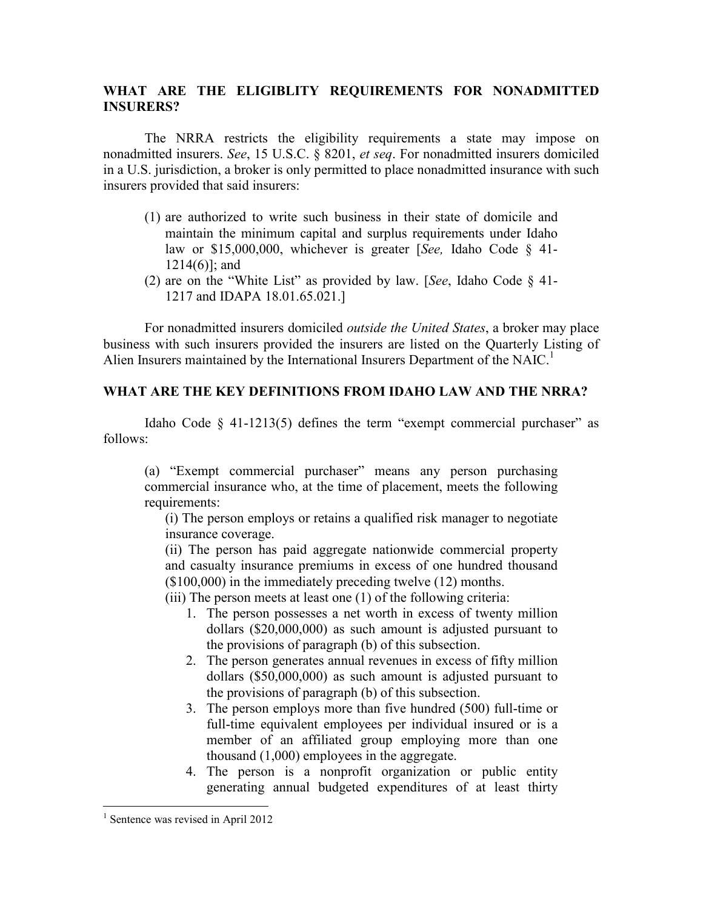# WHAT ARE THE ELIGIBLITY REQUIREMENTS FOR NONADMITTED INSURERS?

The NRRA restricts the eligibility requirements a state may impose on nonadmitted insurers. See, 15 U.S.C. § 8201, et seq. For nonadmitted insurers domiciled in a U.S. jurisdiction, a broker is only permitted to place nonadmitted insurance with such insurers provided that said insurers:

- (1) are authorized to write such business in their state of domicile and maintain the minimum capital and surplus requirements under Idaho law or \$15,000,000, whichever is greater [See, Idaho Code § 41-1214(6)]; and
- (2) are on the "White List" as provided by law. [See, Idaho Code § 41- 1217 and IDAPA 18.01.65.021.]

For nonadmitted insurers domiciled outside the United States, a broker may place business with such insurers provided the insurers are listed on the Quarterly Listing of Alien Insurers maintained by the International Insurers Department of the NAIC.<sup>1</sup>

## WHAT ARE THE KEY DEFINITIONS FROM IDAHO LAW AND THE NRRA?

Idaho Code  $\S$  41-1213(5) defines the term "exempt commercial purchaser" as follows:

(a) "Exempt commercial purchaser" means any person purchasing commercial insurance who, at the time of placement, meets the following requirements:

(i) The person employs or retains a qualified risk manager to negotiate insurance coverage.

(ii) The person has paid aggregate nationwide commercial property and casualty insurance premiums in excess of one hundred thousand (\$100,000) in the immediately preceding twelve (12) months.

(iii) The person meets at least one (1) of the following criteria:

- 1. The person possesses a net worth in excess of twenty million dollars (\$20,000,000) as such amount is adjusted pursuant to the provisions of paragraph (b) of this subsection.
- 2. The person generates annual revenues in excess of fifty million dollars (\$50,000,000) as such amount is adjusted pursuant to the provisions of paragraph (b) of this subsection.
- 3. The person employs more than five hundred (500) full-time or full-time equivalent employees per individual insured or is a member of an affiliated group employing more than one thousand (1,000) employees in the aggregate.
- 4. The person is a nonprofit organization or public entity generating annual budgeted expenditures of at least thirty

 $\overline{a}$ 

<sup>&</sup>lt;sup>1</sup> Sentence was revised in April 2012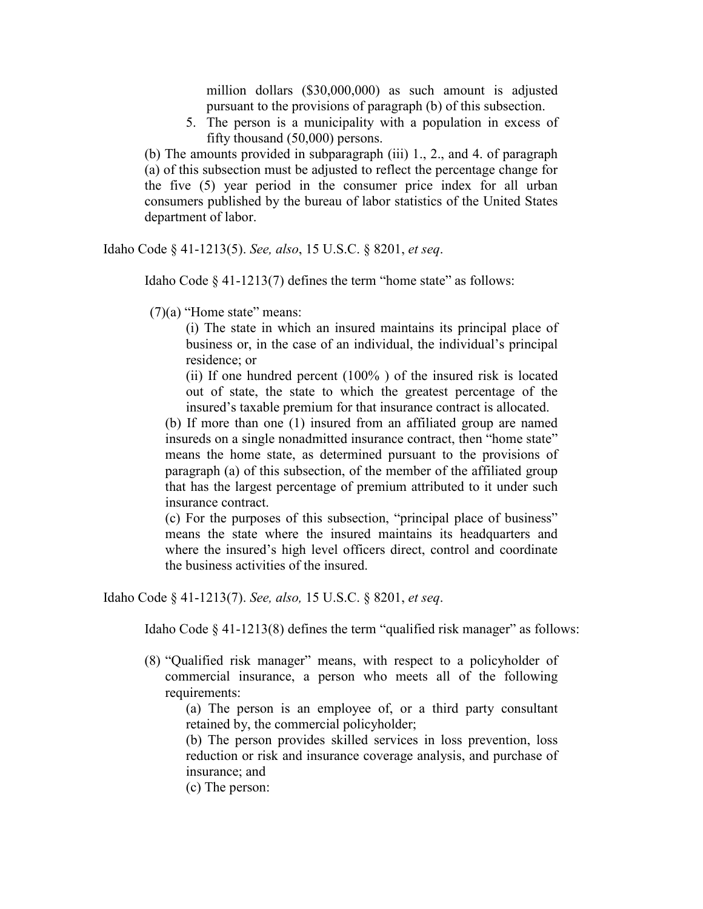million dollars (\$30,000,000) as such amount is adjusted pursuant to the provisions of paragraph (b) of this subsection.

5. The person is a municipality with a population in excess of fifty thousand (50,000) persons.

(b) The amounts provided in subparagraph (iii) 1., 2., and 4. of paragraph (a) of this subsection must be adjusted to reflect the percentage change for the five (5) year period in the consumer price index for all urban consumers published by the bureau of labor statistics of the United States department of labor.

Idaho Code § 41-1213(5). See, also, 15 U.S.C. § 8201, et seq.

Idaho Code  $\S$  41-1213(7) defines the term "home state" as follows:

 $(7)(a)$  "Home state" means:

(i) The state in which an insured maintains its principal place of business or, in the case of an individual, the individual's principal residence; or

(ii) If one hundred percent (100% ) of the insured risk is located out of state, the state to which the greatest percentage of the insured's taxable premium for that insurance contract is allocated.

(b) If more than one (1) insured from an affiliated group are named insureds on a single nonadmitted insurance contract, then "home state" means the home state, as determined pursuant to the provisions of paragraph (a) of this subsection, of the member of the affiliated group that has the largest percentage of premium attributed to it under such insurance contract.

(c) For the purposes of this subsection, "principal place of business" means the state where the insured maintains its headquarters and where the insured's high level officers direct, control and coordinate the business activities of the insured.

Idaho Code § 41-1213(7). See, also, 15 U.S.C. § 8201, et seq.

Idaho Code § 41-1213(8) defines the term "qualified risk manager" as follows:

(8) "Qualified risk manager" means, with respect to a policyholder of commercial insurance, a person who meets all of the following requirements:

(a) The person is an employee of, or a third party consultant retained by, the commercial policyholder;

(b) The person provides skilled services in loss prevention, loss reduction or risk and insurance coverage analysis, and purchase of insurance; and

(c) The person: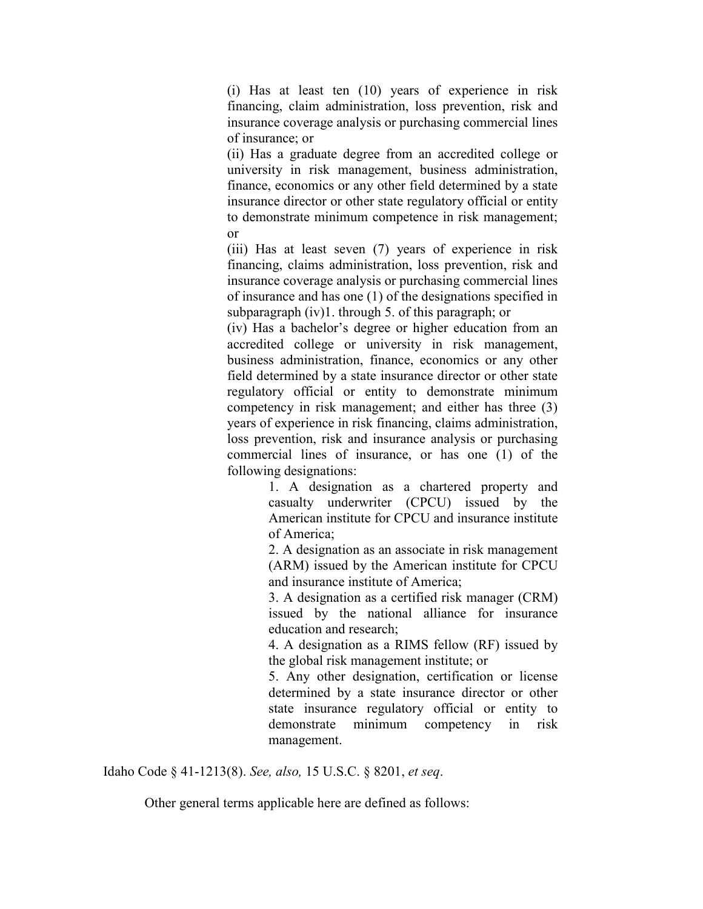(i) Has at least ten (10) years of experience in risk financing, claim administration, loss prevention, risk and insurance coverage analysis or purchasing commercial lines of insurance; or

(ii) Has a graduate degree from an accredited college or university in risk management, business administration, finance, economics or any other field determined by a state insurance director or other state regulatory official or entity to demonstrate minimum competence in risk management; or

(iii) Has at least seven (7) years of experience in risk financing, claims administration, loss prevention, risk and insurance coverage analysis or purchasing commercial lines of insurance and has one (1) of the designations specified in subparagraph (iv)1. through 5. of this paragraph; or

(iv) Has a bachelor's degree or higher education from an accredited college or university in risk management, business administration, finance, economics or any other field determined by a state insurance director or other state regulatory official or entity to demonstrate minimum competency in risk management; and either has three (3) years of experience in risk financing, claims administration, loss prevention, risk and insurance analysis or purchasing commercial lines of insurance, or has one (1) of the following designations:

1. A designation as a chartered property and casualty underwriter (CPCU) issued by the American institute for CPCU and insurance institute of America;

2. A designation as an associate in risk management (ARM) issued by the American institute for CPCU and insurance institute of America;

3. A designation as a certified risk manager (CRM) issued by the national alliance for insurance education and research;

4. A designation as a RIMS fellow (RF) issued by the global risk management institute; or

5. Any other designation, certification or license determined by a state insurance director or other state insurance regulatory official or entity to demonstrate minimum competency in risk management.

Idaho Code § 41-1213(8). See, also, 15 U.S.C. § 8201, et seq.

Other general terms applicable here are defined as follows: